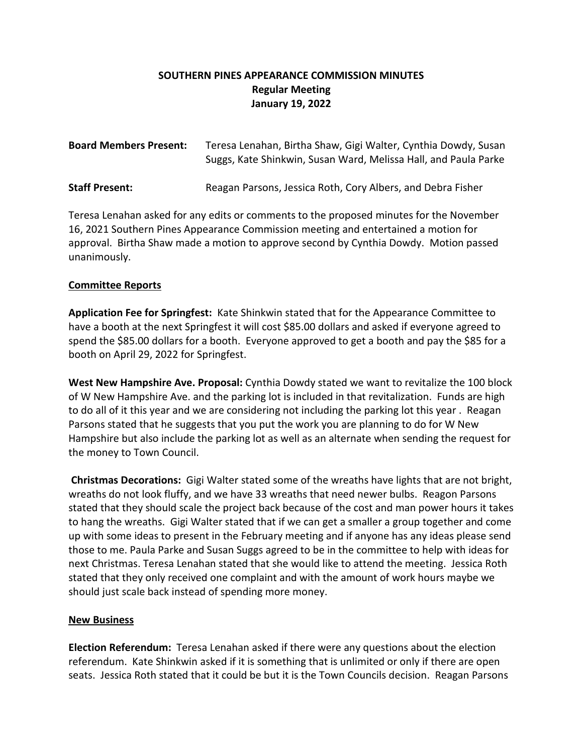## **SOUTHERN PINES APPEARANCE COMMISSION MINUTES Regular Meeting January 19, 2022**

| <b>Board Members Present:</b> | Teresa Lenahan, Birtha Shaw, Gigi Walter, Cynthia Dowdy, Susan<br>Suggs, Kate Shinkwin, Susan Ward, Melissa Hall, and Paula Parke |
|-------------------------------|-----------------------------------------------------------------------------------------------------------------------------------|
| <b>Staff Present:</b>         | Reagan Parsons, Jessica Roth, Cory Albers, and Debra Fisher                                                                       |

Teresa Lenahan asked for any edits or comments to the proposed minutes for the November 16, 2021 Southern Pines Appearance Commission meeting and entertained a motion for approval. Birtha Shaw made a motion to approve second by Cynthia Dowdy. Motion passed unanimously.

## **Committee Reports**

**Application Fee for Springfest:** Kate Shinkwin stated that for the Appearance Committee to have a booth at the next Springfest it will cost \$85.00 dollars and asked if everyone agreed to spend the \$85.00 dollars for a booth. Everyone approved to get a booth and pay the \$85 for a booth on April 29, 2022 for Springfest.

**West New Hampshire Ave. Proposal:** Cynthia Dowdy stated we want to revitalize the 100 block of W New Hampshire Ave. and the parking lot is included in that revitalization. Funds are high to do all of it this year and we are considering not including the parking lot this year . Reagan Parsons stated that he suggests that you put the work you are planning to do for W New Hampshire but also include the parking lot as well as an alternate when sending the request for the money to Town Council.

**Christmas Decorations:** Gigi Walter stated some of the wreaths have lights that are not bright, wreaths do not look fluffy, and we have 33 wreaths that need newer bulbs. Reagon Parsons stated that they should scale the project back because of the cost and man power hours it takes to hang the wreaths. Gigi Walter stated that if we can get a smaller a group together and come up with some ideas to present in the February meeting and if anyone has any ideas please send those to me. Paula Parke and Susan Suggs agreed to be in the committee to help with ideas for next Christmas. Teresa Lenahan stated that she would like to attend the meeting. Jessica Roth stated that they only received one complaint and with the amount of work hours maybe we should just scale back instead of spending more money.

## **New Business**

**Election Referendum:** Teresa Lenahan asked if there were any questions about the election referendum. Kate Shinkwin asked if it is something that is unlimited or only if there are open seats. Jessica Roth stated that it could be but it is the Town Councils decision. Reagan Parsons